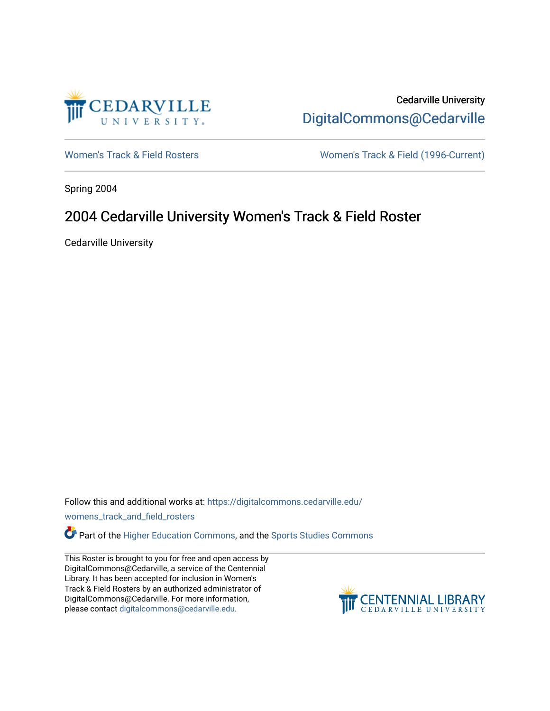

Cedarville University [DigitalCommons@Cedarville](https://digitalcommons.cedarville.edu/) 

[Women's Track & Field Rosters](https://digitalcommons.cedarville.edu/womens_track_and_field_rosters) Women's Track & Field (1996-Current)

Spring 2004

## 2004 Cedarville University Women's Track & Field Roster

Cedarville University

Follow this and additional works at: [https://digitalcommons.cedarville.edu/](https://digitalcommons.cedarville.edu/womens_track_and_field_rosters?utm_source=digitalcommons.cedarville.edu%2Fwomens_track_and_field_rosters%2F37&utm_medium=PDF&utm_campaign=PDFCoverPages)

[womens\\_track\\_and\\_field\\_rosters](https://digitalcommons.cedarville.edu/womens_track_and_field_rosters?utm_source=digitalcommons.cedarville.edu%2Fwomens_track_and_field_rosters%2F37&utm_medium=PDF&utm_campaign=PDFCoverPages) 

**C** Part of the [Higher Education Commons,](http://network.bepress.com/hgg/discipline/1245?utm_source=digitalcommons.cedarville.edu%2Fwomens_track_and_field_rosters%2F37&utm_medium=PDF&utm_campaign=PDFCoverPages) and the Sports Studies Commons

This Roster is brought to you for free and open access by DigitalCommons@Cedarville, a service of the Centennial Library. It has been accepted for inclusion in Women's Track & Field Rosters by an authorized administrator of DigitalCommons@Cedarville. For more information, please contact [digitalcommons@cedarville.edu](mailto:digitalcommons@cedarville.edu).